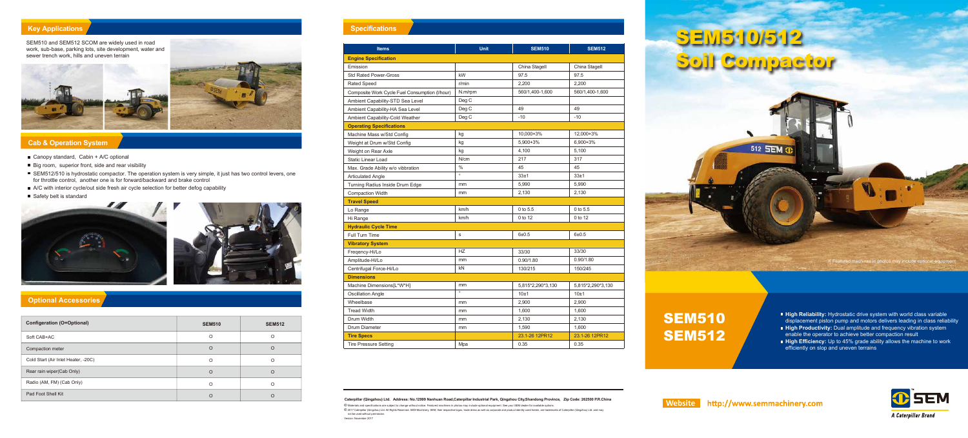## **Specifications**

#### **Cab & Operation System**

- Canopy standard, Cabin  $+$  A/C optional
- Big room, superior front, side and rear visibility
- SEM512/510 is hydrostatic compactor. The operation system is very simple, it just has two control levers, one for throttle control, another one is for forward/backward and brake control
- A/C with interior cycle/out side fresh air cycle selection for better defog capability
- Safety belt is standard





#### **Optional Accessories**

#### **Key Applications**

# **SEM510/512** Soil Compactor

- **High Reliability:** Hydrostatic drive system with world class variable displacement piston pump and motors delivers leading in class reliability
- **High Productivity:** Dual amplitude and frequency vibration system enable the operator to achieve better compaction result
- **High Efficiency:** Up to 45% grade ability allows the machine to work efficiently on slop and uneven terrains



| <b>Configeration (O=Optional)</b>   | <b>SEM510</b> | <b>SEM512</b> |
|-------------------------------------|---------------|---------------|
| Soft CAB+AC                         | O             | ∩             |
| Compaction meter                    | $\circ$       | $\Omega$      |
| Cold Start (Air Inlet Heater, -20C) | O             | ∩             |
| Rear rain wiper(Cab Only)           | O             | ∩             |
| Radio (AM, FM) (Cab Only)           | O             | ∩             |
| Pad Foot Shell Kit                  |               |               |

SEM510 and SEM512 SCOM are widely used in road work, sub-base, parking lots, site development, water and sewer trench work, hills and uneven terrain



| <b>Items</b>                                   | <b>Unit</b>   | <b>SEM510</b>     | <b>SEM512</b>     |
|------------------------------------------------|---------------|-------------------|-------------------|
| <b>Engine Specification</b>                    |               |                   |                   |
| Emission                                       |               | China Stagell     | China Stagell     |
| <b>Std Rated Power-Gross</b>                   | kW            | 97.5              | 97.5              |
| Rated Speed                                    | r/min         | 2,200             | 2,200             |
| Composite Work Cycle Fuel Consumption (I/hour) | N.m/rpm       | 560/1,400-1,600   | 560/1,400-1,600   |
| Ambient Capability-STD Sea Level               | Deg C         |                   |                   |
| Ambient Capability-HA Sea Level                | Deg C         | 49                | 49                |
| Ambient Capability-Cold Weather                | Deg C         | $-10$             | $-10$             |
| <b>Operating Specifications</b>                |               |                   |                   |
| Machine Mass w/Std Config                      | kg            | 10,000+3%         | 12,000+3%         |
| Weight at Drum w/Std Config                    | kg            | 5,900+3%          | 6,900+3%          |
| Weight on Rear Axle                            | kg            | 4,100             | 5,100             |
| <b>Static Linear Load</b>                      | N/cm          | 217               | 317               |
| Max. Grade Ability w/o vibbration              | $\%$          | 45                | 45                |
| <b>Articulated Angle</b>                       | $\circ$       | 33±1              | 33±1              |
| Turning Radius Inside Drum Edge                | mm            | 5,990             | 5,990             |
| <b>Compaction Width</b>                        | mm            | 2,130             | 2,130             |
| <b>Travel Speed</b>                            |               |                   |                   |
| Lo Range                                       | km/h          | 0 to 5.5          | 0 to 5.5          |
| Hi Range                                       | km/h          | 0 to 12           | 0 to 12           |
| <b>Hydraulic Cycle Time</b>                    |               |                   |                   |
| Full Turn Time                                 | s             | $6 + 0.5$         | $6 + 0.5$         |
| <b>Vibratory System</b>                        |               |                   |                   |
| Freqency-Hi/Lo                                 | HZ            | 33/30             | 33/30             |
| Amplitude-Hi/Lo                                | mm            | 0.90/1.80         | 0.90/1.80         |
| Centrifugal Force-Hi/Lo                        | kN            | 130/215           | 150/245           |
| <b>Dimensions</b>                              |               |                   |                   |
| Machine Dimensions[L*W*H]                      | mm            | 5,815*2,290*3,130 | 5,815*2,290*3,130 |
| <b>Oscillation Angle</b>                       | $\circ$       | 10±1              | 10±1              |
| Wheelbase                                      | mm            | 2,900             | 2,900             |
| <b>Tread Width</b>                             | mm            | 1,600             | 1,600             |
| Drum Width                                     | mm            | 2,130             | 2,130             |
| Drum Diameter                                  | $\mathsf{mm}$ | 1,590             | 1,600             |
| <b>Tire Specs</b>                              |               | 23.1-26 12PR12    | 23.1-26 12PR12    |
| <b>Tire Pressure Setting</b>                   | Mpa           | 0.35              | 0.35              |



## **SEM510 SEM512**

**Website http://www.semmachinery.com** 

**Caterpillar (Qingzhou) Ltd. Address: No.12999 Nanhuan Road,Caterpillar Industrial Park, Qingzhou City,Shandong Province, Zip Code: 262500 P.R.China** © Materials and specifications are subject to change without notice. Featured machines in photos may include optional equipment. See your SEM dealer for available options. © 2017 Caterpillar (Qingzhou) Ltd. All Rights Reserved. SEM Machinery, SEM, their respective logos, trade dress as well as corporate and product identity used herein, are trademarks of Caterpillar (Qingzhou) Ltd. and may

not be used without permissio

Version: November 2017